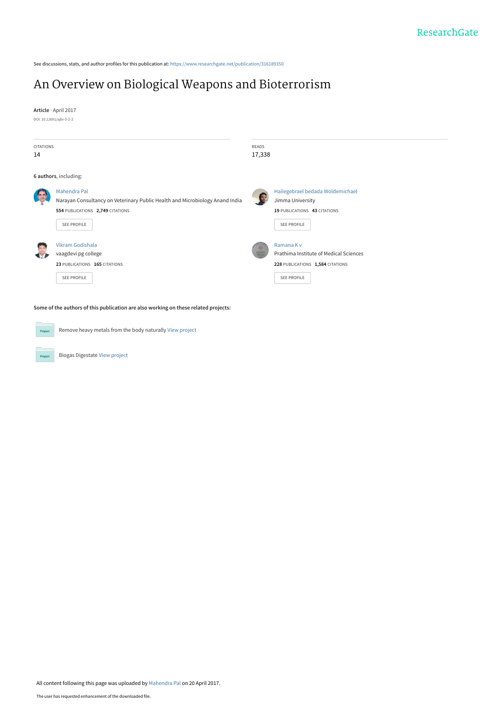See discussions, stats, and author profiles for this publication at: [https://www.researchgate.net/publication/316189350](https://www.researchgate.net/publication/316189350_An_Overview_on_Biological_Weapons_and_Bioterrorism?enrichId=rgreq-8d4d1883768dc0d61e01d470c4015780-XXX&enrichSource=Y292ZXJQYWdlOzMxNjE4OTM1MDtBUzo0ODUyNzM4MzEyNTE5NjhAMTQ5MjcwOTcwNTA5Nw%3D%3D&el=1_x_2&_esc=publicationCoverPdf)

# [An Overview on Biological Weapons and Bioterrorism](https://www.researchgate.net/publication/316189350_An_Overview_on_Biological_Weapons_and_Bioterrorism?enrichId=rgreq-8d4d1883768dc0d61e01d470c4015780-XXX&enrichSource=Y292ZXJQYWdlOzMxNjE4OTM1MDtBUzo0ODUyNzM4MzEyNTE5NjhAMTQ5MjcwOTcwNTA5Nw%3D%3D&el=1_x_3&_esc=publicationCoverPdf)

**Article** · April 2017 DOI: 10.12691/ajbr-5-2-2

| <b>CITATIONS</b><br>14                                                              |                                                                                              | <b>READS</b><br>17,338 |                                                                                          |  |  |
|-------------------------------------------------------------------------------------|----------------------------------------------------------------------------------------------|------------------------|------------------------------------------------------------------------------------------|--|--|
|                                                                                     | 6 authors, including:                                                                        |                        |                                                                                          |  |  |
|                                                                                     | Mahendra Pal<br>Narayan Consultancy on Veterinary Public Health and Microbiology Anand India |                        | Hailegebrael bedada Woldemichael<br>Jimma University                                     |  |  |
|                                                                                     | 554 PUBLICATIONS 2,749 CITATIONS<br><b>SEE PROFILE</b>                                       |                        | 19 PUBLICATIONS 43 CITATIONS<br><b>SEE PROFILE</b>                                       |  |  |
|                                                                                     | Vikram Godishala<br>vaagdevi pg college<br>23 PUBLICATIONS 165 CITATIONS                     |                        | Ramana K v<br>Prathima Institute of Medical Sciences<br>228 PUBLICATIONS 1,584 CITATIONS |  |  |
|                                                                                     | <b>SEE PROFILE</b>                                                                           |                        | <b>SEE PROFILE</b>                                                                       |  |  |
| Some of the authors of this publication are also working on these related projects: |                                                                                              |                        |                                                                                          |  |  |
| Project                                                                             | Remove heavy metals from the body naturally View project                                     |                        |                                                                                          |  |  |

Biogas Digestate [View project](https://www.researchgate.net/project/Biogas-Digestate?enrichId=rgreq-8d4d1883768dc0d61e01d470c4015780-XXX&enrichSource=Y292ZXJQYWdlOzMxNjE4OTM1MDtBUzo0ODUyNzM4MzEyNTE5NjhAMTQ5MjcwOTcwNTA5Nw%3D%3D&el=1_x_9&_esc=publicationCoverPdf)

Project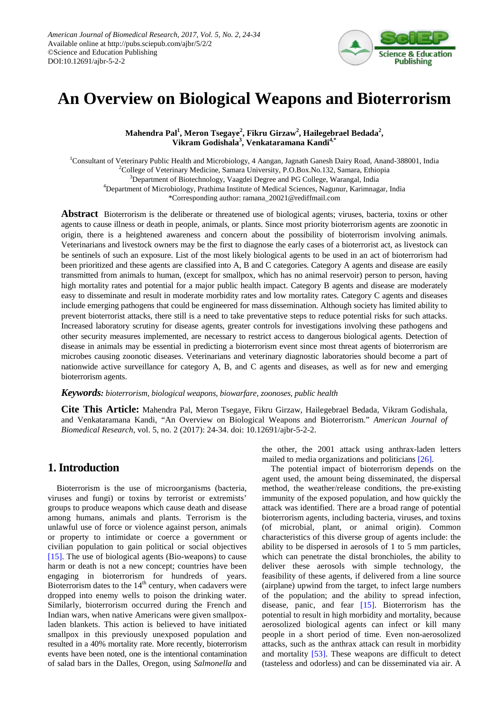

# **An Overview on Biological Weapons and Bioterrorism**

**Mahendra Pal1 , Meron Tsegaye<sup>2</sup> , Fikru Girzaw<sup>2</sup> , Hailegebrael Bedada<sup>2</sup> , Vikram Godishala<sup>3</sup> , Venkataramana Kandi4,\***

<sup>1</sup>Consultant of Veterinary Public Health and Microbiology, 4 Aangan, Jagnath Ganesh Dairy Road, Anand-388001, India <sup>2</sup>College of Veterinary Medicine, Samara University, P.O.Box.No.132, Samara, Ethiopia <sup>3</sup>Department of Biotechnology, Vaagdei Degree and PG College, Warangal, India 4 Department of Microbiology, Prathima Institute of Medical Sciences, Nagunur, Karimnagar, India \*Corresponding author: ramana\_20021@rediffmail.com

**Abstract** Bioterrorism is the deliberate or threatened use of biological agents; viruses, bacteria, toxins or other agents to cause illness or death in people, animals, or plants. Since most priority bioterrorism agents are zoonotic in origin, there is a heightened awareness and concern about the possibility of bioterrorism involving animals. Veterinarians and livestock owners may be the first to diagnose the early cases of a bioterrorist act, as livestock can be sentinels of such an exposure. List of the most likely biological agents to be used in an act of bioterrorism had been prioritized and these agents are classified into A, B and C categories. Category A agents and disease are easily transmitted from animals to human, (except for smallpox, which has no animal reservoir) person to person, having high mortality rates and potential for a major public health impact. Category B agents and disease are moderately easy to disseminate and result in moderate morbidity rates and low mortality rates. Category C agents and diseases include emerging pathogens that could be engineered for mass dissemination. Although society has limited ability to prevent bioterrorist attacks, there still is a need to take preventative steps to reduce potential risks for such attacks. Increased laboratory scrutiny for disease agents, greater controls for investigations involving these pathogens and other security measures implemented, are necessary to restrict access to dangerous biological agents. Detection of disease in animals may be essential in predicting a bioterrorism event since most threat agents of bioterrorism are microbes causing zoonotic diseases. Veterinarians and veterinary diagnostic laboratories should become a part of nationwide active surveillance for category A, B, and C agents and diseases, as well as for new and emerging bioterrorism agents.

#### *Keywords: bioterrorism, biological weapons, biowarfare, zoonoses, public health*

**Cite This Article:** Mahendra Pal, Meron Tsegaye, Fikru Girzaw, Hailegebrael Bedada, Vikram Godishala, and Venkataramana Kandi, "An Overview on Biological Weapons and Bioterrorism." *American Journal of Biomedical Research*, vol. 5, no. 2 (2017): 24-34. doi: 10.12691/ajbr-5-2-2.

### **1. Introduction**

Bioterrorism is the use of microorganisms (bacteria, viruses and fungi) or toxins by terrorist or extremists' groups to produce weapons which cause death and disease among humans, animals and plants. Terrorism is the unlawful use of force or violence against person, animals or property to intimidate or coerce a government or civilian population to gain political or social objectives [\[15\].](#page-10-0) The use of biological agents (Bio-weapons) to cause harm or death is not a new concept; countries have been engaging in bioterrorism for hundreds of years. Bioterrorism dates to the  $14<sup>th</sup>$  century, when cadavers were dropped into enemy wells to poison the drinking water. Similarly, bioterrorism occurred during the French and Indian wars, when native Americans were given smallpoxladen blankets. This action is believed to have initiated smallpox in this previously unexposed population and resulted in a 40% mortality rate. More recently, bioterrorism events have been noted, one is the intentional contamination of salad bars in the Dalles, Oregon, using *Salmonella* and the other, the 2001 attack using anthrax-laden letters mailed to media organizations and politician[s \[26\].](#page-10-1)

The potential impact of bioterrorism depends on the agent used, the amount being disseminated, the dispersal method, the weather/release conditions, the pre-existing immunity of the exposed population, and how quickly the attack was identified. There are a broad range of potential bioterrorism agents, including bacteria, viruses, and toxins (of microbial, plant, or animal origin). Common characteristics of this diverse group of agents include: the ability to be dispersed in aerosols of 1 to 5 mm particles, which can penetrate the distal bronchioles, the ability to deliver these aerosols with simple technology, the feasibility of these agents, if delivered from a line source (airplane) upwind from the target, to infect large numbers of the population; and the ability to spread infection, disease, panic, and fear [\[15\].](#page-10-0) Bioterrorism has the potential to result in high morbidity and mortality, because aerosolized biological agents can infect or kill many people in a short period of time. Even non-aerosolized attacks, such as the anthrax attack can result in morbidity and mortality [\[53\].](#page-10-2) These weapons are difficult to detect (tasteless and odorless) and can be disseminated via air. A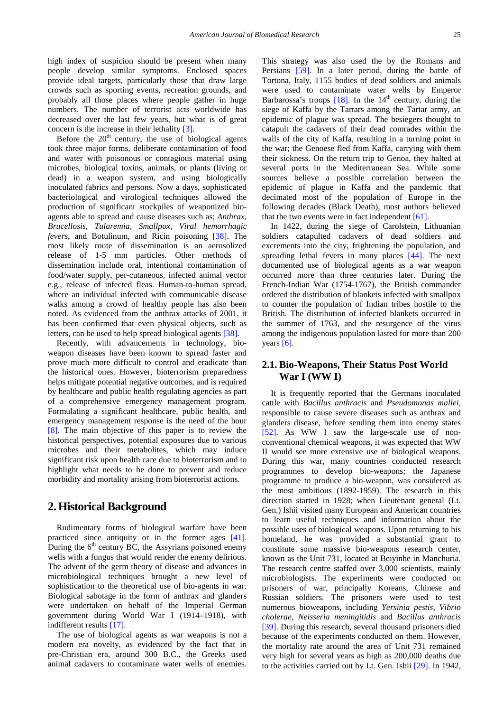high index of suspicion should be present when many people develop similar symptoms. Enclosed spaces provide ideal targets, particularly those that draw large crowds such as sporting events, recreation grounds, and probably all those places where people gather in huge numbers. The number of terrorist acts worldwide has decreased over the last few years, but what is of great concern is the increase in their lethality [\[3\].](#page-10-3)

Before the  $20<sup>th</sup>$  century, the use of biological agents took three major forms, deliberate contamination of food and water with poisonous or contagious material using microbes, biological toxins, animals, or plants (living or dead) in a weapon system, and using biologically inoculated fabrics and persons. Now a days, sophisticated bacteriological and virological techniques allowed the production of significant stockpiles of weaponized bioagents able to spread and cause diseases such as; *Anthrax, Brucellosis, Tularemia, Smallpox*, *Viral hemorrhagic fevers*, and Botulinum, and Ricin poisoning [\[38\].](#page-10-4) The most likely route of dissemination is an aerosolized release of 1-5 mm particles. Other methods of dissemination include oral, intentional contamination of food/water supply, per-cutaneous, infected animal vector e.g., release of infected fleas. Human-to-human spread, where an individual infected with communicable disease walks among a crowd of healthy people has also been noted. As evidenced from the anthrax attacks of 2001, it has been confirmed that even physical objects, such as letters, can be used to help spread biological agents [\[38\].](#page-10-4)

Recently, with advancements in technology, bioweapon diseases have been known to spread faster and prove much more difficult to control and eradicate than the historical ones. However, bioterrorism preparedness helps mitigate potential negative outcomes, and is required by healthcare and public health regulating agencies as part of a comprehensive emergency management program. Formulating a significant healthcare, public health, and emergency management response is the need of the hour [\[8\].](#page-10-5) The main objective of this paper is to review the historical perspectives, potential exposures due to various microbes and their metabolites, which may induce significant risk upon health care due to bioterrorism and to highlight what needs to be done to prevent and reduce morbidity and mortality arising from bioterrorist actions.

### **2.Historical Background**

Rudimentary forms of biological warfare have been practiced since antiquity or in the former ages [\[41\].](#page-10-6) During the  $6<sup>th</sup>$  century BC, the Assyrians poisoned enemy wells with a fungus that would render the enemy delirious. The advent of the germ theory of disease and advances in microbiological techniques brought a new level of sophistication to the theoretical use of bio-agents in war. Biological sabotage in the form of anthrax and glanders were undertaken on behalf of the Imperial German government during World War I (1914–1918), with indifferent results [\[17\].](#page-10-7)

The use of biological agents as war weapons is not a modern era novelty, as evidenced by the fact that in pre-Christian era, around 300 B.C., the Greeks used animal cadavers to contaminate water wells of enemies.

This strategy was also used the by the Romans and Persians [\[59\].](#page-11-0) In a later period, during the battle of Tortona, Italy, 1155 bodies of dead soldiers and animals were used to contaminate water wells by Emperor Barbarossa's troops  $[18]$ . In the  $14<sup>th</sup>$  century, during the siege of Kaffa by the Tartars among the Tartar army, an epidemic of plague was spread. The besiegers thought to catapult the cadavers of their dead comrades within the walls of the city of Kaffa, resulting in a turning point in the war; the Genoese fled from Kaffa, carrying with them their sickness. On the return trip to Genoa, they halted at several ports in the Mediterranean Sea. While some sources believe a possible correlation between the epidemic of plague in Kaffa and the pandemic that decimated most of the population of Europe in the following decades (Black Death), most authors believed that the two events were in fact independent [\[61\].](#page-11-1)

In 1422, during the siege of Carolstein, Lithuanian soldiers catapulted cadavers of dead soldiers and excrements into the city, frightening the population, and spreading lethal fevers in many places [\[44\].](#page-10-9) The next documented use of biological agents as a war weapon occurred more than three centuries later. During the French-Indian War (1754-1767), the British commander ordered the distribution of blankets infected with smallpox to counter the population of Indian tribes hostile to the British. The distribution of infected blankets occurred in the summer of 1763, and the resurgence of the virus among the indigenous population lasted for more than 200 years  $[6]$ .

### **2.1. Bio-Weapons, Their Status Post World War I (WW I)**

It is frequently reported that the Germans inoculated cattle with *Bacillus anthracis* and *Pseudomonas mallei*, responsible to cause severe diseases such as anthrax and glanders disease, before sending them into enemy states [\[52\].](#page-10-11) As WW I saw the large-scale use of nonconventional chemical weapons, it was expected that WW II would see more extensive use of biological weapons. During this war, many countries conducted research programmes to develop bio-weapons; the Japanese programme to produce a bio-weapon, was considered as the most ambitious (1892-1959). The research in this direction started in 1928; when Lieutenant general (Lt. Gen.) Ishii visited many European and American countries to learn useful techniques and information about the possible uses of biological weapons. Upon returning to his homeland, he was provided a substantial grant to constitute some massive bio-weapons research center, known as the Unit 731, located at Beiyinhe in Manchuria. The research centre staffed over 3,000 scientists, mainly microbiologists. The experiments were conducted on prisoners of war, principally Koreans, Chinese and Russian soldiers. The prisoners were used to test numerous bioweapons, including *Yersinia pestis*, *Vibrio cholerae*, *Neisseria meningitidis* and *Bacillus anthracis* [\[39\].](#page-10-12) During this research, several thousand prisoners died because of the experiments conducted on them. However, the mortality rate around the area of Unit 731 remained very high for several years as high as 200,000 deaths due to the activities carried out by Lt. Gen. Ishii [\[29\].](#page-10-13) In 1942,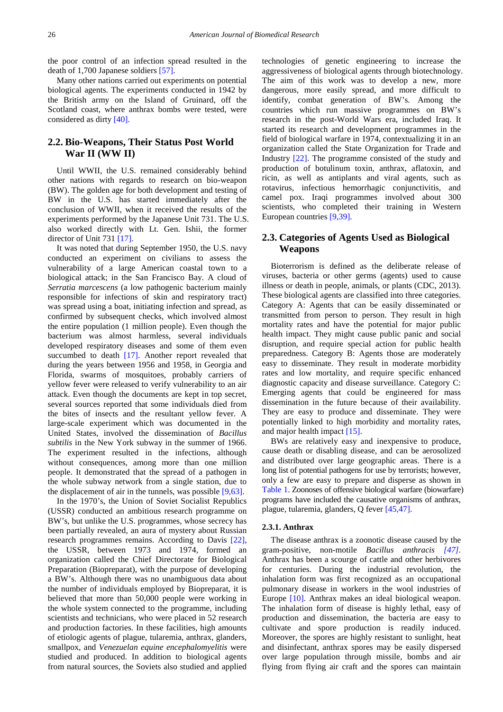the poor control of an infection spread resulted in the death of 1,700 Japanese soldiers [\[57\].](#page-11-2)

Many other nations carried out experiments on potential biological agents. The experiments conducted in 1942 by the British army on the Island of Gruinard, off the Scotland coast, where anthrax bombs were tested, were considered as dirt[y \[40\].](#page-10-14)

### **2.2. Bio-Weapons, Their Status Post World War II (WW II)**

Until WWII, the U.S. remained considerably behind other nations with regards to research on bio-weapon (BW). The golden age for both development and testing of BW in the U.S. has started immediately after the conclusion of WWII, when it received the results of the experiments performed by the Japanese Unit 731. The U.S. also worked directly with Lt. Gen. Ishii, the former director of Unit 731 [\[17\].](#page-10-7)

It was noted that during September 1950, the U.S. navy conducted an experiment on civilians to assess the vulnerability of a large American coastal town to a biological attack; in the San Francisco Bay. A cloud of *Serratia marcescens* (a low pathogenic bacterium mainly responsible for infections of skin and respiratory tract) was spread using a boat, initiating infection and spread, as confirmed by subsequent checks, which involved almost the entire population (1 million people). Even though the bacterium was almost harmless, several individuals developed respiratory diseases and some of them even succumbed to death [\[17\].](#page-10-7) Another report revealed that during the years between 1956 and 1958, in Georgia and Florida, swarms of mosquitoes, probably carriers of yellow fever were released to verify vulnerability to an air attack. Even though the documents are kept in top secret, several sources reported that some individuals died from the bites of insects and the resultant yellow fever. A large-scale experiment which was documented in the United States, involved the dissemination of *Bacillus subtilis* in the New York subway in the summer of 1966. The experiment resulted in the infections, although without consequences, among more than one million people. It demonstrated that the spread of a pathogen in the whole subway network from a single station, due to the displacement of air in the tunnels, was possible [\[9,63\].](#page-10-15)

In the 1970's, the Union of Soviet Socialist Republics (USSR) conducted an ambitious research programme on BW's, but unlike the U.S. programmes, whose secrecy has been partially revealed, an aura of mystery about Russian research programmes remains. According to Davis [\[22\],](#page-10-16) the USSR, between 1973 and 1974, formed an organization called the Chief Directorate for Biological Preparation (Biopreparat), with the purpose of developing a BW's. Although there was no unambiguous data about the number of individuals employed by Biopreparat, it is believed that more than 50,000 people were working in the whole system connected to the programme, including scientists and technicians, who were placed in 52 research and production factories. In these facilities, high amounts of etiologic agents of plague, tularemia, anthrax, glanders, smallpox, and *Venezuelan equine encephalomyelitis* were studied and produced. In addition to biological agents from natural sources, the Soviets also studied and applied technologies of genetic engineering to increase the aggressiveness of biological agents through biotechnology. The aim of this work was to develop a new, more dangerous, more easily spread, and more difficult to identify, combat generation of BW's. Among the countries which run massive programmes on BW's research in the post-World Wars era, included Iraq. It started its research and development programmes in the field of biological warfare in 1974, contextualizing it in an organization called the State Organization for Trade and Industry [\[22\].](#page-10-16) The programme consisted of the study and production of botulinum toxin, anthrax, aflatoxin, and ricin, as well as antiplants and viral agents, such as rotavirus, infectious hemorrhagic conjunctivitis, and camel pox. Iraqi programmes involved about 300 scientists, who completed their training in Western European countries [\[9,39\].](#page-10-15)

### **2.3. Categories of Agents Used as Biological Weapons**

Bioterrorism is defined as the deliberate release of viruses, bacteria or other germs (agents) used to cause illness or death in people, animals, or plants (CDC, 2013). These biological agents are classified into three categories. Category A: Agents that can be easily disseminated or transmitted from person to person. They result in high mortality rates and have the potential for major public health impact. They might cause public panic and social disruption, and require special action for public health preparedness. Category B: Agents those are moderately easy to disseminate. They result in moderate morbidity rates and low mortality, and require specific enhanced diagnostic capacity and disease surveillance. Category C: Emerging agents that could be engineered for mass dissemination in the future because of their availability. They are easy to produce and disseminate. They were potentially linked to high morbidity and mortality rates, and major health impac[t \[15\].](#page-10-0)

BWs are relatively easy and inexpensive to produce, cause death or disabling disease, and can be aerosolized and distributed over large geographic areas. There is a long list of potential pathogens for use by terrorists; however, only a few are easy to prepare and disperse as shown in [Table 1.](#page-4-0) Zoonoses of offensive biological warfare (biowarfare) programs have included the causative organisms of anthrax, plague, tularemia, glanders, Q fever [\[45,47\].](#page-10-17)

#### **2.3.1. Anthrax**

The disease anthrax is a zoonotic disease caused by the gram-positive, non-motile *Bacillus anthracis [\[47\]](#page-10-18)*. Anthrax has been a scourge of cattle and other herbivores for centuries. During the industrial revolution, the inhalation form was first recognized as an occupational pulmonary disease in workers in the wool industries of Europe [\[10\].](#page-10-19) Anthrax makes an ideal biological weapon. The inhalation form of disease is highly lethal, easy of production and dissemination, the bacteria are easy to cultivate and spore production is readily induced. Moreover, the spores are highly resistant to sunlight, heat and disinfectant, anthrax spores may be easily dispersed over large population through missile, bombs and air flying from flying air craft and the spores can maintain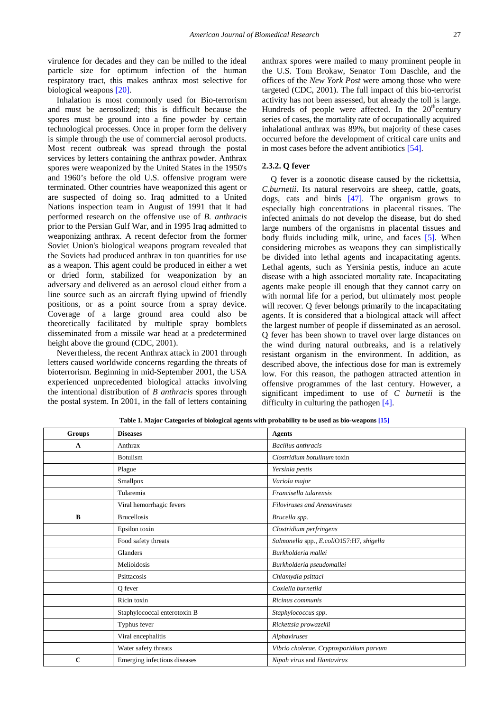virulence for decades and they can be milled to the ideal particle size for optimum infection of the human respiratory tract, this makes anthrax most selective for biological weapons [\[20\].](#page-10-20)

Inhalation is most commonly used for Bio-terrorism and must be aerosolized; this is difficult because the spores must be ground into a fine powder by certain technological processes. Once in proper form the delivery is simple through the use of commercial aerosol products. Most recent outbreak was spread through the postal services by letters containing the anthrax powder. Anthrax spores were weaponized by the United States in the 1950's and 1960's before the old U.S. offensive program were terminated. Other countries have weaponized this agent or are suspected of doing so. Iraq admitted to a United Nations inspection team in August of 1991 that it had performed research on the offensive use of *B. anthracis* prior to the Persian Gulf War, and in 1995 Iraq admitted to weaponizing anthrax. A recent defector from the former Soviet Union's biological weapons program revealed that the Soviets had produced anthrax in ton quantities for use as a weapon. This agent could be produced in either a wet or dried form, stabilized for weaponization by an adversary and delivered as an aerosol cloud either from a line source such as an aircraft flying upwind of friendly positions, or as a point source from a spray device. Coverage of a large ground area could also be theoretically facilitated by multiple spray bomblets disseminated from a missile war head at a predetermined height above the ground (CDC, 2001).

Nevertheless, the recent Anthrax attack in 2001 through letters caused worldwide concerns regarding the threats of bioterrorism. Beginning in mid-September 2001, the USA experienced unprecedented biological attacks involving the intentional distribution of *B anthracis* spores through the postal system. In 2001, in the fall of letters containing anthrax spores were mailed to many prominent people in the U.S. Tom Brokaw, Senator Tom Daschle, and the offices of the *New York Post* were among those who were targeted (CDC, 2001). The full impact of this bio-terrorist activity has not been assessed, but already the toll is large. Hundreds of people were affected. In the  $20<sup>th</sup>$ century series of cases, the mortality rate of occupationally acquired inhalational anthrax was 89%, but majority of these cases occurred before the development of critical care units and in most cases before the advent antibiotics [\[54\].](#page-11-3)

#### **2.3.2. Q fever**

Q fever is a zoonotic disease caused by the rickettsia*, C.burnetii*. Its natural reservoirs are sheep, cattle, goats, dogs, cats and birds [\[47\].](#page-10-18) The organism grows to especially high concentrations in placental tissues. The infected animals do not develop the disease, but do shed large numbers of the organisms in placental tissues and body fluids including milk, urine, and faces [\[5\].](#page-10-21) When considering microbes as weapons they can simplistically be divided into lethal agents and incapacitating agents. Lethal agents, such as Yersinia pestis, induce an acute disease with a high associated mortality rate. Incapacitating agents make people ill enough that they cannot carry on with normal life for a period, but ultimately most people will recover. Q fever belongs primarily to the incapacitating agents. It is considered that a biological attack will affect the largest number of people if disseminated as an aerosol. Q fever has been shown to travel over large distances on the wind during natural outbreaks, and is a relatively resistant organism in the environment. In addition, as described above, the infectious dose for man is extremely low. For this reason, the pathogen attracted attention in offensive programmes of the last century. However, a significant impediment to use of *C burnetii* is the difficulty in culturing the pathoge[n \[4\].](#page-10-22)

<span id="page-4-0"></span>

| Groups      | <b>Diseases</b>              | <b>Agents</b>                            |
|-------------|------------------------------|------------------------------------------|
| A           | Anthrax                      | Bacillus anthracis                       |
|             | <b>Botulism</b>              | Clostridium botulinum toxin              |
|             | Plague                       | Yersinia pestis                          |
|             | Smallpox                     | Variola major                            |
|             | Tularemia                    | Francisella tularensis                   |
|             | Viral hemorrhagic fevers     | <b>Filoviruses and Arenaviruses</b>      |
| B           | <b>Brucellosis</b>           | Brucella spp.                            |
|             | Epsilon toxin                | Clostridium perfringens                  |
|             | Food safety threats          | Salmonella spp., E.coliO157:H7, shigella |
|             | Glanders                     | Burkholderia mallei                      |
|             | Melioidosis                  | Burkholderia pseudomallei                |
|             | Psittacosis                  | Chlamydia psittaci                       |
|             | Q fever                      | Coxiella burnetiid                       |
|             | Ricin toxin                  | Ricinus communis                         |
|             | Staphylococcal enterotoxin B | Staphylococcus spp.                      |
|             | Typhus fever                 | Rickettsia prowazekii                    |
|             | Viral encephalitis           | Alphaviruses                             |
|             | Water safety threats         | Vibrio cholerae, Cryptosporidium parvum  |
| $\mathbf C$ | Emerging infectious diseases | Nipah virus and Hantavirus               |

**Table 1. Major Categories of biological agents with probability to be used as bio-weapons [\[15\]](#page-10-0)**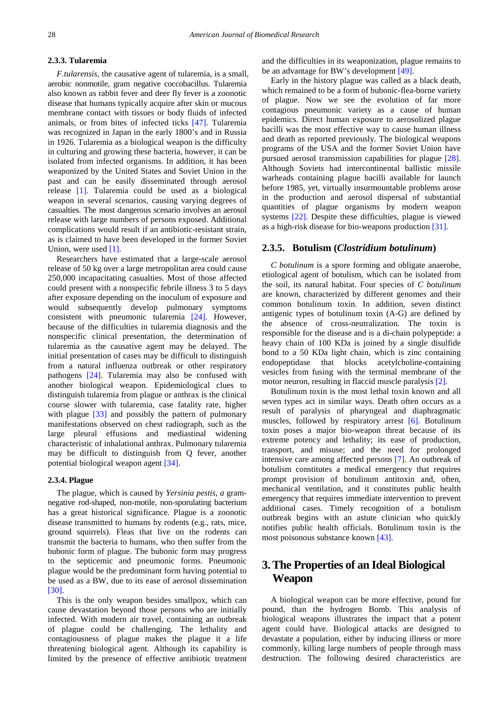#### **2.3.3. Tularemia**

*F.tularensis,* the causative agent of tularemia, is a small, aerobic nonmotile, gram negative coccobacillus. Tularemia also known as rabbit fever and deer fly fever is a zoonotic disease that humans typically acquire after skin or mucous membrane contact with tissues or body fluids of infected animals, or from bites of infected ticks [\[47\].](#page-10-18) Tularemia was recognized in Japan in the early 1800's and in Russia in 1926. Tularemia as a biological weapon is the difficulty in culturing and growing these bacteria, however, it can be isolated from infected organisms. In addition, it has been weaponized by the United States and Soviet Union in the past and can be easily disseminated through aerosol release [\[1\].](#page-9-0) Tularemia could be used as a biological weapon in several scenarios, causing varying degrees of casualties. The most dangerous scenario involves an aerosol release with large numbers of persons exposed. Additional complications would result if an antibiotic-resistant strain, as is claimed to have been developed in the former Soviet Union, were used [\[1\].](#page-9-0)

Researchers have estimated that a large-scale aerosol release of 50 kg over a large metropolitan area could cause 250,000 incapacitating casualties. Most of those affected could present with a nonspecific febrile illness 3 to 5 days after exposure depending on the inoculum of exposure and would subsequently develop pulmonary symptoms consistent with pneumonic tularemia [\[24\].](#page-10-23) However, because of the difficulties in tularemia diagnosis and the nonspecific clinical presentation, the determination of tularemia as the causative agent may be delayed. The initial presentation of cases may be difficult to distinguish from a natural influenza outbreak or other respiratory pathogens [\[24\].](#page-10-23) Tularemia may also be confused with another biological weapon. Epidemiological clues to distinguish tularemia from plague or anthrax is the clinical course slower with tularemia, case fatality rate, higher with plague [\[33\]](#page-10-24) and possibly the pattern of pulmonary manifestations observed on chest radiograph, such as the large pleural effusions and mediastinal widening characteristic of inhalational anthrax. Pulmonary tularemia may be difficult to distinguish from Q fever, another potential biological weapon agent [\[34\].](#page-10-25)

#### **2.3.4. Plague**

The plague, which is caused by *Yersinia pestis, a* gramnegative rod-shaped, non-motile, non-sporulating bacterium has a great historical significance*.* Plague is a zoonotic disease transmitted to humans by rodents (e.g., rats, mice, ground squirrels). Fleas that live on the rodents can transmit the bacteria to humans, who then suffer from the bubonic form of plague. The bubonic form may progress to the septicemic and pneumonic forms. Pneumonic plague would be the predominant form having potential to be used as a BW, due to its ease of aerosol dissemination [\[30\].](#page-10-26)

This is the only weapon besides smallpox, which can cause devastation beyond those persons who are initially infected. With modern air travel, containing an outbreak of plague could be challenging. The lethality and contagiousness of plague makes the plague it a life threatening biological agent. Although its capability is limited by the presence of effective antibiotic treatment and the difficulties in its weaponization, plague remains to be an advantage for BW's development [\[49\].](#page-10-27)

Early in the history plague was called as a black death, which remained to be a form of bubonic-flea-borne variety of plague. Now we see the evolution of far more contagious pneumonic variety as a cause of human epidemics. Direct human exposure to aerosolized plague bacilli was the most effective way to cause human illness and death as reported previously. The biological weapons programs of the USA and the former Soviet Union have pursued aerosol transmission capabilities for plague [\[28\].](#page-10-28) Although Soviets had intercontinental ballistic missile warheads containing plague bacilli available for launch before 1985, yet, virtually insurmountable problems arose in the production and aerosol dispersal of substantial quantities of plague organisms by modern weapon systems [\[22\].](#page-10-16) Despite these difficulties, plague is viewed as a high-risk disease for bio-weapons productio[n \[31\].](#page-10-29)

#### **2.3.5. Botulism (***Clostridium botulinum***)**

*C botulinum* is a spore forming and obligate anaerobe, etiological agent of botulism, which can be isolated from the soil, its natural habitat. Four species of *C botulinum*  are known, characterized by different genomes and their common botulinum toxin. In addition, seven distinct antigenic types of botulinum toxin (A-G) are defined by the absence of cross-neutralization. The toxin is responsible for the disease and is a di-chain polypeptide: a heavy chain of 100 KDa is joined by a single disulfide bond to a 50 KDa light chain, which is zinc containing endopeptidase that blocks acetylcholine-containing vesicles from fusing with the terminal membrane of the motor neuron, resulting in flaccid muscle paralysi[s \[2\].](#page-9-1)

Botulinum toxin is the most lethal toxin known and all seven types act in similar ways. Death often occurs as a result of paralysis of pharyngeal and diaphragmatic muscles, followed by respiratory arrest [\[6\].](#page-10-10) Botulinum toxin poses a major bio-weapon threat because of its extreme potency and lethality; its ease of production, transport, and misuse; and the need for prolonged intensive care among affected persons [\[7\].](#page-10-30) An outbreak of botulism constitutes a medical emergency that requires prompt provision of botulinum antitoxin and, often, mechanical ventilation, and it constitutes public health emergency that requires immediate intervention to prevent additional cases. Timely recognition of a botulism outbreak begins with an astute clinician who quickly notifies public health officials. Botulinum toxin is the most poisonous substance known [\[43\].](#page-10-31)

# **3.The Properties of an Ideal Biological Weapon**

A biological weapon can be more effective, pound for pound, than the hydrogen Bomb. This analysis of biological weapons illustrates the impact that a potent agent could have. Biological attacks are designed to devastate a population, either by inducing illness or more commonly, killing large numbers of people through mass destruction. The following desired characteristics are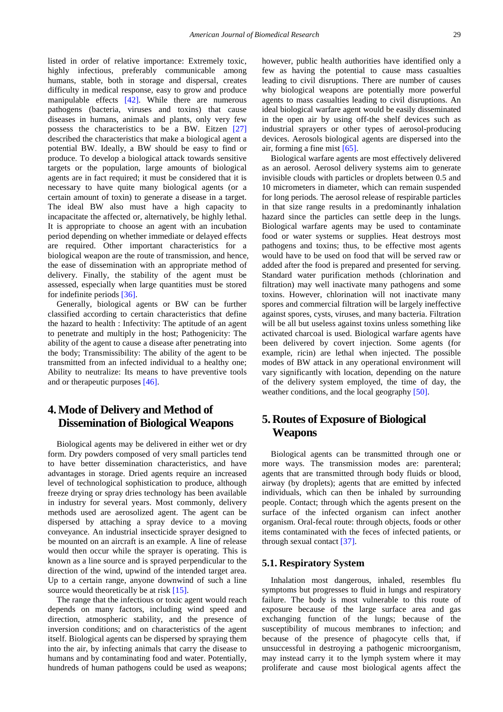listed in order of relative importance: Extremely toxic, highly infectious, preferably communicable among humans, stable, both in storage and dispersal, creates difficulty in medical response, easy to grow and produce manipulable effects [\[42\].](#page-10-32) While there are numerous pathogens (bacteria, viruses and toxins) that cause diseases in humans, animals and plants, only very few possess the characteristics to be a BW. Eitzen [\[27\]](#page-10-33) described the characteristics that make a biological agent a potential BW. Ideally, a BW should be easy to find or produce. To develop a biological attack towards sensitive targets or the population, large amounts of biological agents are in fact required; it must be considered that it is necessary to have quite many biological agents (or a certain amount of toxin) to generate a disease in a target. The ideal BW also must have a high capacity to incapacitate the affected or, alternatively, be highly lethal. It is appropriate to choose an agent with an incubation period depending on whether immediate or delayed effects are required. Other important characteristics for a biological weapon are the route of transmission, and hence, the ease of dissemination with an appropriate method of delivery. Finally, the stability of the agent must be assessed, especially when large quantities must be stored for indefinite period[s \[36\].](#page-10-34)

Generally, biological agents or BW can be further classified according to certain characteristics that define the hazard to health : Infectivity: The aptitude of an agent to penetrate and multiply in the host; Pathogenicity: The ability of the agent to cause a disease after penetrating into the body; Transmissibility: The ability of the agent to be transmitted from an infected individual to a healthy one; Ability to neutralize: Its means to have preventive tools and or therapeutic purposes [\[46\].](#page-10-35)

## **4.Mode of Delivery and Method of Dissemination of Biological Weapons**

Biological agents may be delivered in either wet or dry form. Dry powders composed of very small particles tend to have better dissemination characteristics, and have advantages in storage. Dried agents require an increased level of technological sophistication to produce, although freeze drying or spray dries technology has been available in industry for several years. Most commonly, delivery methods used are aerosolized agent. The agent can be dispersed by attaching a spray device to a moving conveyance. An industrial insecticide sprayer designed to be mounted on an aircraft is an example. A line of release would then occur while the sprayer is operating. This is known as a line source and is sprayed perpendicular to the direction of the wind, upwind of the intended target area. Up to a certain range, anyone downwind of such a line source would theoretically be at risk [\[15\].](#page-10-0)

The range that the infectious or toxic agent would reach depends on many factors, including wind speed and direction, atmospheric stability, and the presence of inversion conditions; and on characteristics of the agent itself. Biological agents can be dispersed by spraying them into the air, by infecting animals that carry the disease to humans and by contaminating food and water. Potentially, hundreds of human pathogens could be used as weapons; however, public health authorities have identified only a few as having the potential to cause mass casualties leading to civil disruptions. There are number of causes why biological weapons are potentially more powerful agents to mass casualties leading to civil disruptions. An ideal biological warfare agent would be easily disseminated in the open air by using off-the shelf devices such as industrial sprayers or other types of aerosol-producing devices. Aerosols biological agents are dispersed into the air, forming a fine mist [\[65\].](#page-11-4)

Biological warfare agents are most effectively delivered as an aerosol. Aerosol delivery systems aim to generate invisible clouds with particles or droplets between 0.5 and 10 micrometers in diameter, which can remain suspended for long periods. The aerosol release of respirable particles in that size range results in a predominantly inhalation hazard since the particles can settle deep in the lungs. Biological warfare agents may be used to contaminate food or water systems or supplies. Heat destroys most pathogens and toxins; thus, to be effective most agents would have to be used on food that will be served raw or added after the food is prepared and presented for serving. Standard water purification methods (chlorination and filtration) may well inactivate many pathogens and some toxins. However, chlorination will not inactivate many spores and commercial filtration will be largely ineffective against spores, cysts, viruses, and many bacteria. Filtration will be all but useless against toxins unless something like activated charcoal is used. Biological warfare agents have been delivered by covert injection. Some agents (for example, ricin) are lethal when injected. The possible modes of BW attack in any operational environment will vary significantly with location, depending on the nature of the delivery system employed, the time of day, the weather conditions, and the local geography [\[50\].](#page-10-36)

# **5. Routes of Exposure of Biological Weapons**

Biological agents can be transmitted through one or more ways. The transmission modes are: parenteral; agents that are transmitted through body fluids or blood, airway (by droplets); agents that are emitted by infected individuals, which can then be inhaled by surrounding people. Contact; through which the agents present on the surface of the infected organism can infect another organism. Oral-fecal route: through objects, foods or other items contaminated with the feces of infected patients, or through sexual contact [\[37\].](#page-10-37)

#### **5.1. Respiratory System**

Inhalation most dangerous, inhaled, resembles flu symptoms but progresses to fluid in lungs and respiratory failure. The body is most vulnerable to this route of exposure because of the large surface area and gas exchanging function of the lungs; because of the susceptibility of mucous membranes to infection; and because of the presence of phagocyte cells that, if unsuccessful in destroying a pathogenic microorganism, may instead carry it to the lymph system where it may proliferate and cause most biological agents affect the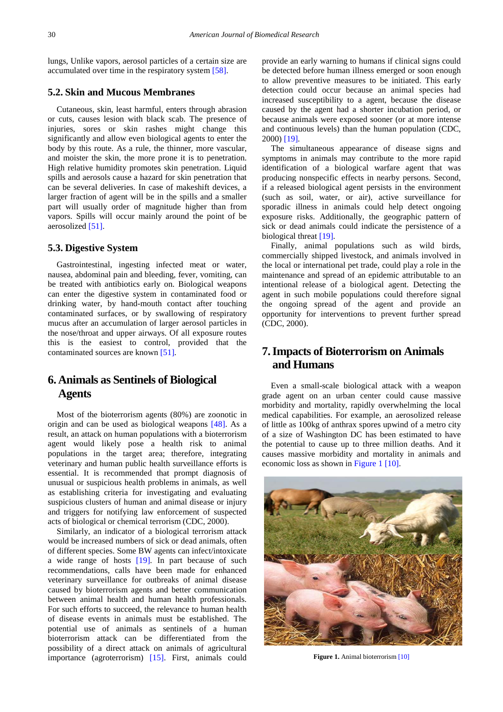lungs, Unlike vapors, aerosol particles of a certain size are accumulated over time in the respiratory system [\[58\].](#page-11-5)

#### **5.2. Skin and Mucous Membranes**

Cutaneous, skin, least harmful, enters through abrasion or cuts, causes lesion with black scab. The presence of injuries, sores or skin rashes might change this significantly and allow even biological agents to enter the body by this route. As a rule, the thinner, more vascular, and moister the skin, the more prone it is to penetration. High relative humidity promotes skin penetration. Liquid spills and aerosols cause a hazard for skin penetration that can be several deliveries. In case of makeshift devices, a larger fraction of agent will be in the spills and a smaller part will usually order of magnitude higher than from vapors. Spills will occur mainly around the point of be aerosolize[d \[51\].](#page-10-38)

#### **5.3. Digestive System**

Gastrointestinal, ingesting infected meat or water, nausea, abdominal pain and bleeding, fever, vomiting, can be treated with antibiotics early on. Biological weapons can enter the digestive system in contaminated food or drinking water, by hand-mouth contact after touching contaminated surfaces, or by swallowing of respiratory mucus after an accumulation of larger aerosol particles in the nose/throat and upper airways. Of all exposure routes this is the easiest to control, provided that the contaminated sources are known [\[51\]](#page-10-38)*.*

## **6. Animals as Sentinels of Biological Agents**

Most of the bioterrorism agents (80%) are zoonotic in origin and can be used as biological weapons [\[48\].](#page-10-39) As a result, an attack on human populations with a bioterrorism agent would likely pose a health risk to animal populations in the target area; therefore, integrating veterinary and human public health surveillance efforts is essential. It is recommended that prompt diagnosis of unusual or suspicious health problems in animals, as well as establishing criteria for investigating and evaluating suspicious clusters of human and animal disease or injury and triggers for notifying law enforcement of suspected acts of biological or chemical terrorism (CDC, 2000).

Similarly, an indicator of a biological terrorism attack would be increased numbers of sick or dead animals, often of different species. Some BW agents can infect/intoxicate a wide range of hosts [\[19\]](#page-10-40)*.* In part because of such recommendations, calls have been made for enhanced veterinary surveillance for outbreaks of animal disease caused by bioterrorism agents and better communication between animal health and human health professionals. For such efforts to succeed, the relevance to human health of disease events in animals must be established. The potential use of animals as sentinels of a human bioterrorism attack can be differentiated from the possibility of a direct attack on animals of agricultural importance (agroterrorism) [\[15\].](#page-10-0) First, animals could

provide an early warning to humans if clinical signs could be detected before human illness emerged or soon enough to allow preventive measures to be initiated. This early detection could occur because an animal species had increased susceptibility to a agent, because the disease caused by the agent had a shorter incubation period, or because animals were exposed sooner (or at more intense and continuous levels) than the human population (CDC, 2000) [\[19\]](#page-10-40)*.*

The simultaneous appearance of disease signs and symptoms in animals may contribute to the more rapid identification of a biological warfare agent that was producing nonspecific effects in nearby persons. Second, if a released biological agent persists in the environment (such as soil, water, or air), active surveillance for sporadic illness in animals could help detect ongoing exposure risks. Additionally, the geographic pattern of sick or dead animals could indicate the persistence of a biological threat [\[19\]](#page-10-40)*.*

Finally, animal populations such as wild birds, commercially shipped livestock, and animals involved in the local or international pet trade, could play a role in the maintenance and spread of an epidemic attributable to an intentional release of a biological agent. Detecting the agent in such mobile populations could therefore signal the ongoing spread of the agent and provide an opportunity for interventions to prevent further spread (CDC, 2000).

# **7.Impacts of Bioterrorism on Animals and Humans**

Even a small-scale biological attack with a weapon grade agent on an urban center could cause massive morbidity and mortality, rapidly overwhelming the local medical capabilities. For example, an aerosolized release of little as 100kg of anthrax spores upwind of a metro city of a size of Washington DC has been estimated to have the potential to cause up to three million deaths. And it causes massive morbidity and mortality in animals and economic loss as shown in [Figure 1](#page-7-0) [\[10\].](#page-10-19)

<span id="page-7-0"></span>

**Figure 1.** Animal bioterroris[m \[10\]](#page-10-19)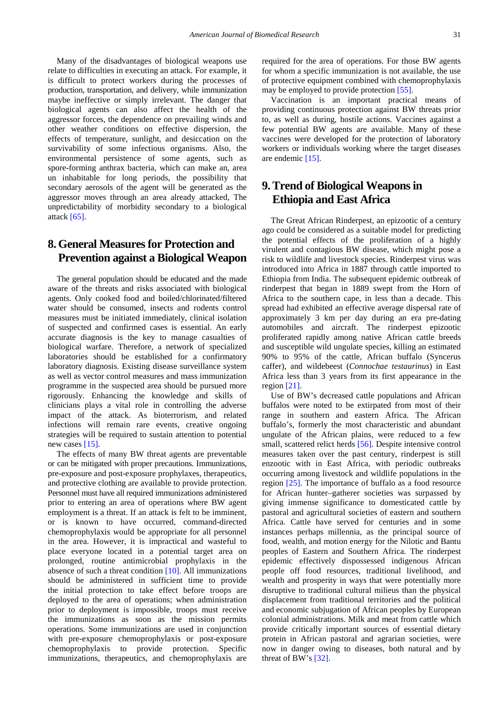Many of the disadvantages of biological weapons use relate to difficulties in executing an attack. For example, it is difficult to protect workers during the processes of production, transportation, and delivery, while immunization maybe ineffective or simply irrelevant. The danger that biological agents can also affect the health of the aggressor forces, the dependence on prevailing winds and other weather conditions on effective dispersion, the effects of temperature, sunlight, and desiccation on the survivability of some infectious organisms. Also, the environmental persistence of some agents, such as spore-forming anthrax bacteria, which can make an, area un inhabitable for long periods, the possibility that secondary aerosols of the agent will be generated as the aggressor moves through an area already attacked, The unpredictability of morbidity secondary to a biological attack [\[65\].](#page-11-4)

# **8.General Measures for Protection and Prevention against a Biological Weapon**

The general population should be educated and the made aware of the threats and risks associated with biological agents. Only cooked food and boiled/chlorinated/filtered water should be consumed, insects and rodents control measures must be initiated immediately, clinical isolation of suspected and confirmed cases is essential. An early accurate diagnosis is the key to manage casualties of biological warfare. Therefore, a network of specialized laboratories should be established for a confirmatory laboratory diagnosis. Existing disease surveillance system as well as vector control measures and mass immunization programme in the suspected area should be pursued more rigorously. Enhancing the knowledge and skills of clinicians plays a vital role in controlling the adverse impact of the attack. As bioterrorism, and related infections will remain rare events, creative ongoing strategies will be required to sustain attention to potential new cases [\[15\].](#page-10-0)

The effects of many BW threat agents are preventable or can be mitigated with proper precautions. Immunizations, pre-exposure and post-exposure prophylaxes, therapeutics, and protective clothing are available to provide protection. Personnel must have all required immunizations administered prior to entering an area of operations where BW agent employment is a threat. If an attack is felt to be imminent, or is known to have occurred, command-directed chemoprophylaxis would be appropriate for all personnel in the area. However, it is impractical and wasteful to place everyone located in a potential target area on prolonged, routine antimicrobial prophylaxis in the absence of such a threat condition [\[10\].](#page-10-19) All immunizations should be administered in sufficient time to provide the initial protection to take effect before troops are deployed to the area of operations; when administration prior to deployment is impossible, troops must receive the immunizations as soon as the mission permits operations. Some immunizations are used in conjunction with pre-exposure chemoprophylaxis or post-exposure chemoprophylaxis to provide protection. Specific immunizations, therapeutics, and chemoprophylaxis are

required for the area of operations. For those BW agents for whom a specific immunization is not available, the use of protective equipment combined with chemoprophylaxis may be employed to provide protection [\[55\].](#page-11-6)

Vaccination is an important practical means of providing continuous protection against BW threats prior to, as well as during, hostile actions. Vaccines against a few potential BW agents are available. Many of these vaccines were developed for the protection of laboratory workers or individuals working where the target diseases are endemic [\[15\].](#page-10-0)

# **9.Trend of Biological Weapons in Ethiopia and East Africa**

The Great African Rinderpest, an epizootic of a century ago could be considered as a suitable model for predicting the potential effects of the proliferation of a highly virulent and contagious BW disease, which might pose a risk to wildlife and livestock species. Rinderpest virus was introduced into Africa in 1887 through cattle imported to Ethiopia from India. The subsequent epidemic outbreak of rinderpest that began in 1889 swept from the Horn of Africa to the southern cape, in less than a decade. This spread had exhibited an effective average dispersal rate of approximately 3 km per day during an era pre-dating automobiles and aircraft. The rinderpest epizootic proliferated rapidly among native African cattle breeds and susceptible wild ungulate species, killing an estimated 90% to 95% of the cattle, African buffalo (Syncerus caffer), and wildebeest (*Connochae testaurinus*) in East Africa less than 3 years from its first appearance in the region [\[21\].](#page-10-41)

Use of BW's decreased cattle populations and African buffalos were noted to be extirpated from most of their range in southern and eastern Africa. The African buffalo's, formerly the most characteristic and abundant ungulate of the African plains, were reduced to a few small, scattered relict herds [\[56\].](#page-11-7) Despite intensive control measures taken over the past century, rinderpest is still enzootic with in East Africa, with periodic outbreaks occurring among livestock and wildlife populations in the region [\[25\].](#page-10-42) The importance of buffalo as a food resource for African hunter–gatherer societies was surpassed by giving immense significance to domesticated cattle by pastoral and agricultural societies of eastern and southern Africa. Cattle have served for centuries and in some instances perhaps millennia, as the principal source of food, wealth, and motion energy for the Nilotic and Bantu peoples of Eastern and Southern Africa. The rinderpest epidemic effectively dispossessed indigenous African people off food resources, traditional livelihood, and wealth and prosperity in ways that were potentially more disruptive to traditional cultural milieus than the physical displacement from traditional territories and the political and economic subjugation of African peoples by European colonial administrations. Milk and meat from cattle which provide critically important sources of essential dietary protein in African pastoral and agrarian societies, were now in danger owing to diseases, both natural and by threat of BW's [\[32\].](#page-10-43)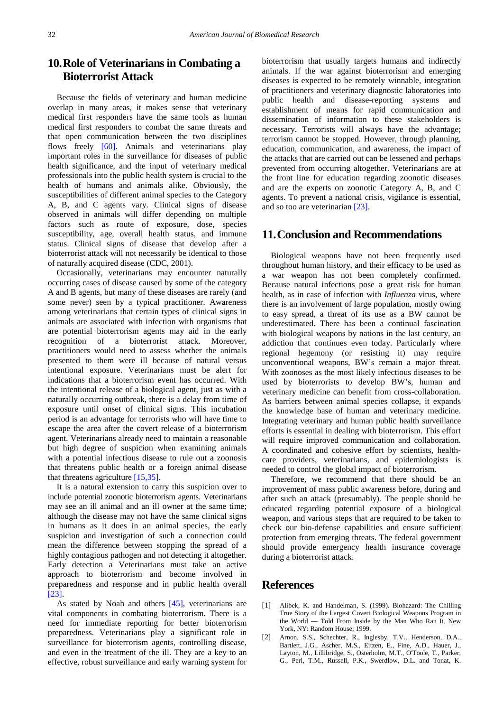# **10.Role of Veterinarians in Combating a Bioterrorist Attack**

Because the fields of veterinary and human medicine overlap in many areas, it makes sense that veterinary medical first responders have the same tools as human medical first responders to combat the same threats and that open communication between the two disciplines flows freely [\[60\].](#page-11-8) Animals and veterinarians play important roles in the surveillance for diseases of public health significance, and the input of veterinary medical professionals into the public health system is crucial to the health of humans and animals alike. Obviously, the susceptibilities of different animal species to the Category A, B, and C agents vary. Clinical signs of disease observed in animals will differ depending on multiple factors such as route of exposure, dose, species susceptibility, age, overall health status, and immune status. Clinical signs of disease that develop after a bioterrorist attack will not necessarily be identical to those of naturally acquired disease (CDC, 2001).

Occasionally, veterinarians may encounter naturally occurring cases of disease caused by some of the category A and B agents, but many of these diseases are rarely (and some never) seen by a typical practitioner. Awareness among veterinarians that certain types of clinical signs in animals are associated with infection with organisms that are potential bioterrorism agents may aid in the early recognition of a bioterrorist attack. Moreover, practitioners would need to assess whether the animals presented to them were ill because of natural versus intentional exposure. Veterinarians must be alert for indications that a bioterrorism event has occurred. With the intentional release of a biological agent, just as with a naturally occurring outbreak, there is a delay from time of exposure until onset of clinical signs. This incubation period is an advantage for terrorists who will have time to escape the area after the covert release of a bioterrorism agent. Veterinarians already need to maintain a reasonable but high degree of suspicion when examining animals with a potential infectious disease to rule out a zoonosis that threatens public health or a foreign animal disease that threatens agriculture [\[15,35\].](#page-10-0)

It is a natural extension to carry this suspicion over to include potential zoonotic bioterrorism agents. Veterinarians may see an ill animal and an ill owner at the same time; although the disease may not have the same clinical signs in humans as it does in an animal species, the early suspicion and investigation of such a connection could mean the difference between stopping the spread of a highly contagious pathogen and not detecting it altogether. Early detection a Veterinarians must take an active approach to bioterrorism and become involved in preparedness and response and in public health overall [\[23\].](#page-10-44)

As stated by Noah and others [\[45\],](#page-10-17) veterinarians are vital components in combating bioterrorism. There is a need for immediate reporting for better bioterrorism preparedness. Veterinarians play a significant role in surveillance for bioterrorism agents, controlling disease, and even in the treatment of the ill. They are a key to an effective, robust surveillance and early warning system for

bioterrorism that usually targets humans and indirectly animals. If the war against bioterrorism and emerging diseases is expected to be remotely winnable, integration of practitioners and veterinary diagnostic laboratories into public health and disease-reporting systems and establishment of means for rapid communication and dissemination of information to these stakeholders is necessary. Terrorists will always have the advantage; terrorism cannot be stopped. However, through planning, education, communication, and awareness, the impact of the attacks that are carried out can be lessened and perhaps prevented from occurring altogether. Veterinarians are at the front line for education regarding zoonotic diseases and are the experts on zoonotic Category A, B, and C agents. To prevent a national crisis, vigilance is essential, and so too are veterinarian [\[23\].](#page-10-44)

### **11.Conclusion and Recommendations**

Biological weapons have not been frequently used throughout human history, and their efficacy to be used as a war weapon has not been completely confirmed. Because natural infections pose a great risk for human health, as in case of infection with *Influenza* virus, where there is an involvement of large population, mostly owing to easy spread, a threat of its use as a BW cannot be underestimated. There has been a continual fascination with biological weapons by nations in the last century, an addiction that continues even today. Particularly where regional hegemony (or resisting it) may require unconventional weapons, BW's remain a major threat. With zoonoses as the most likely infectious diseases to be used by bioterrorists to develop BW's, human and veterinary medicine can benefit from cross-collaboration. As barriers between animal species collapse, it expands the knowledge base of human and veterinary medicine. Integrating veterinary and human public health surveillance efforts is essential in dealing with bioterrorism. This effort will require improved communication and collaboration. A coordinated and cohesive effort by scientists, healthcare providers, veterinarians, and epidemiologists is needed to control the global impact of bioterrorism.

Therefore, we recommend that there should be an improvement of mass public awareness before, during and after such an attack (presumably). The people should be educated regarding potential exposure of a biological weapon, and various steps that are required to be taken to check our bio-defense capabilities and ensure sufficient protection from emerging threats. The federal government should provide emergency health insurance coverage during a bioterrorist attack.

### **References**

- <span id="page-9-0"></span>[1] Alibek, K. and Handelman, S. (1999). Biohazard: The Chilling True Story of the Largest Covert Biological Weapons Program in the World — Told From Inside by the Man Who Ran It. New York, NY: Random House; 1999.
- <span id="page-9-1"></span>[2] Arnon, S.S., Schechter, R., Inglesby, T.V., Henderson, D.A., Bartlett, J.G., Ascher, M.S., Eitzen, E., Fine, A.D., Hauer, J., Layton, M., Lillibridge, S., Osterholm, M.T., O'Toole, T., Parker, G., Perl, T.M., Russell, P.K., Swerdlow, D.L. and Tonat, K.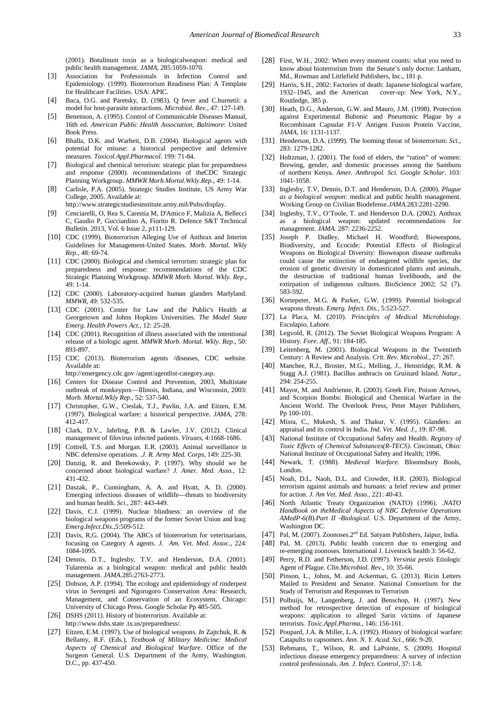(2001). Botulinum toxin as a biologicalweapon: medical and public health management. *JAMA*, 285:1059-1070.

- <span id="page-10-3"></span>[3] Association for Professionals in Infection Control and Epidemiology. (1999). Bioterrorism Readiness Plan: A Template for Healthcare Facilities. USA: APIC.
- <span id="page-10-22"></span>[4] Baca, O.G. and Paretsky, D. (1983). Q fever and C.burnetii: a model for host-parasite interactions. *Microbiol. Rev.*, 47: 127-149.
- <span id="page-10-21"></span>[5] Benenson, A. (1995). Control of Communicable Diseases Manual, 16th ed. *American Public Health Association, Baltimore*: United Book Press.
- <span id="page-10-10"></span>[6] Bhalla, D.K. and Warheit, D.B. (2004). Biological agents with potential for misuse: a historical perspective and defensive measures. *Toxicol.Appl.Pharmacol*. 199: 71-84.
- <span id="page-10-30"></span>[7] Biological and chemical terrorism: strategic plan for preparedness and response (2000). recommendations of theCDC Strategic Planning Workgroup. *MMWR Morb.Mortal.Wkly.Rep*., 49: 1-14.
- <span id="page-10-5"></span>[8] Carlisle, P.A. (2005). Strategic Studies Institute, US Army War College, 2005. Available at:
- http://www.strategicstudiesinstitute.army.mil/Pubs/display.
- <span id="page-10-15"></span>[9] Cenciarelli, O, Rea S, Carestia M, D'Amico F, Malizia A, Bellecci C, Gaudio P, Gucciardino A, Fiorito R. Defence S&T Technical Bulletin. 2013, Vol. 6 Issue 2, p111-129.
- <span id="page-10-19"></span>[10] CDC (1999). Bioterrorism Alleging Use of Anthrax and Interim Guidelines for Management-United States. *Morb. Mortal. Wkly Rep.*, 48: 69-74.
- [11] CDC (2000). Biological and chemical terrorism: strategic plan for preparedness and response: recommendations of the CDC Strategic Planning Workgroup. *MMWR Morb. Mortal. Wkly. Rep*., 49: 1-14.
- [12] CDC (2000). Laboratory-acquired human glanders Marlyland. *MMWR*, 49: 532-535.
- [13] CDC (2001). Center for Law and the Public's Health at Georgetown and Johns Hopkins Universities. *The Model State Emerg. Health Powers Act.,* 12: 25-28.
- [14] CDC (2001). Recognition of illness associated with the intentional release of a biologic agent. *MMWR Morb. Mortal. Wkly. Rep.*, 50: 893-897.
- <span id="page-10-0"></span>[15] CDC (2013). Bioterrorism agents /diseases, CDC website. Available at:

http://emergency.cdc.gov /agent/agentlist-category.asp.

- [16] Centers for Disease Control and Prevention, 2003, Multistate outbreak of monkeypox—Illinois, Indiana, and Wisconsin, 2003: *Morb. Mortal.Wkly Rep*., 52: 537-540.
- <span id="page-10-7"></span>[17] Christopher, G.W., Cieslak, T.J., Pavlin, J.A. and Eitzen, E.M. (1997). Biological warfare: a historical perspective. *JAMA*, 278: 412-417.
- <span id="page-10-8"></span>[18] Clark, D.V., Jahrling, P.B. & Lawler, J.V. (2012). Clinical management of filovirus infected patients. *Viruses*, 4:1668-1686.
- <span id="page-10-40"></span>[19] Cottrell, T.S. and Morgan. E.R. (2003). Animal surveillance in NBC defensive operations. .*J. R. Army Med. Corps*, 149: 225-30.
- <span id="page-10-20"></span>[20] Danzig, R. and Berekowsky, P. (1997). Why should we be concerned about biological warfare? *J. Amer. Med. Asso.*, 12: 431-432.
- <span id="page-10-41"></span>[21] Daszak, P., Cunningham, A. A. and Hyatt, A. D. (2000). Emerging infectious diseases of wildlife—threats to biodiversity and human health. *Sci*., 287: 443-449.
- <span id="page-10-16"></span>[22] Davis, C.J. (1999). Nuclear blindness: an overview of the biological weapons programs of the former Soviet Union and Iraq: *Emerg.Infect.Dis.*,5:509-512.
- <span id="page-10-44"></span>[23] Davis, R,G. (2004). The ABCs of bioterrorism for veterinarians, focusing on Category A agents. *J. Am. Vet. Med. Assoc.*, 224: 1084-1095.
- <span id="page-10-23"></span>[24] Dennis, D.T., Inglesby, T.V. and Henderson, D.A. (2001). Tularemia as a biological weapon: medical and public health management. *JAMA.*285:2763-2773.
- <span id="page-10-42"></span>[25] Dobson, A.P. (1994). The ecology and epidemiology of rinderpest virus in Serengeti and Ngorogoro Conservation Area: Research, Management, and Conservation of an Ecosystem. Chicago: University of Chicago Press. Google Scholar Pp 485-505.
- <span id="page-10-1"></span>[26] DSHS (2011). History of bioterrorism. Available at: http://www.dshs.state .tx.us/preparedness/.
- <span id="page-10-33"></span>[27] Eitzen, E.M. (1997). Use of biological weapons. *In* Zajtchuk, R. & Bellamy, R.F. (Eds.), *Textbook of Military Medicine: Medical Aspects of Chemical and Biological Warfare*. Office of the Surgeon General. U.S. Department of the Army, Washington. D.C., pp. 437-450.
- <span id="page-10-28"></span>[28] First, W.H., 2002: When every moment counts: what you need to know about bioterrorism from the Senate's only doctor: Lanham, Md., Rowman and Littlefield Publishers, Inc., 181 p.
- <span id="page-10-13"></span>[29] Harris, S.H., 2002: Factories of death: Japanese biological warfare, 1932–1945, and the American cover-up: New York, N.Y., Routledge, 385 p.
- <span id="page-10-26"></span>[30] Heath, D.G., Anderson, G.W. and Mauro, J.M. (1998). Protection against Experimental Bubonic and Pneumonic Plague by a Recombinant Capsular F1-V Antigen Fusion Protein Vaccine, *JAMA,* 16: 1131-1137.
- <span id="page-10-29"></span>[31] Henderson, D.A. (1999). The looming threat of bioterrorism: *Sci.*, 283: 1279-1282.
- <span id="page-10-43"></span>[32] Holtzman, J. (2001). The food of elders, the "ration" of women: Brewing, gender, and domestic processes among the Samburu of northern Kenya. *Amer. Anthropol. Sci. Google Scholar*. 103: 1041-1058.
- <span id="page-10-24"></span>[33] Inglesby, T.V, Dennis, D.T. and Henderson, D.A. (2000). *Plague as a biological weapon*: medical and public health management. Working Group on Civilian Biodefense.*JAMA.*283:2281-2290.
- <span id="page-10-25"></span>[34] Inglesby, T.V., O'Toole, T. and Henderson D.A. (2002). Anthrax as a biological weapon: updated recommendations for management. *JAMA.* 287: 2236-2252.
- [35] Joseph P. Dudley, Michael H. Woodford; Bioweapons, Biodiversity, and Ecocide: Potential Effects of Biological Weapons on Biological Diversity: Bioweapon disease outbreaks could cause the extinction of endangered wildlife species, the erosion of genetic diversity in domesticated plants and animals, the destruction of traditional human livelihoods, and the extirpation of indigenous cultures. BioScience 2002; 52 (7). 583-592.
- <span id="page-10-34"></span>[36] Kortepeter, M.G. & Parker, G.W. (1999). Potential biological weapons threats. *Emerg. Infect. Dis.*, 5:523-527.
- <span id="page-10-37"></span>[37] La Placa, M. (2010). *Principles of Medical Microbiology*. Esculapio, Lahore.
- <span id="page-10-4"></span>[38] Legvold, R. (2012). The Soviet Biological Weapons Program: A History. *Fore. Aff.,* 91: 184-185.
- <span id="page-10-12"></span>[39] Leitenberg, M. (2001). Biological Weapons in the Twentieth Century: A Review and Analysis. *Crit. Rev. Microbiol.*, 27: 267.
- <span id="page-10-14"></span>[40] Manchee, R.J., Broster, M.G., Melling, J., Henstridge, R.M. & Stagg A.J. (1981). Bacillus anthracis on Gruinard Island. *Natur.*, 294: 254-255.
- <span id="page-10-6"></span>[41] Mayor, M. and Andrienne, R. (2003). Greek Fire, Poison Arrows, and Scorpion Bombs: Biological and Chemical Warfare in the Ancient World. The Overlook Press, Peter Mayer Publishers, Pp 100-101.
- <span id="page-10-32"></span>[42] Misra, C., Mukesh, S. and Thakur, V. (1995). Glanders: an appraisal and its control in India. *Ind. Vet. Med. J.*, 19: 87-98.
- <span id="page-10-31"></span>[43] National Institute of Occupational Safety and Health. *Registry of Toxic Effects of Chemical Substances(R-TECS)*. Cincinnati, Ohio: National Institute of Occupational Safety and Health; 1996.
- <span id="page-10-9"></span>[44] Newark, T. (1988). *Medieval Warfare*. Bloomsbury Bools, London.
- <span id="page-10-17"></span>[45] Noah, D.L, Naoh, D.L. and Crowder, H.R. (2003). Biological terrorism against animals and humans: a brief review and primer for action. *J. Am Vet. Med. Asso.,* 221: 40-43.
- <span id="page-10-35"></span>[46] North Atlantic Treaty Organization (NATO) (1996). .*NATO Handbook on theMedical Aspects of NBC Defensive Operations AMedP-6(B*).*Part II -Biological*. U.S. Department of the Army, Washington DC.
- <span id="page-10-18"></span>[47] Pal, M. (2007). Zoonoses.2<sup>nd</sup> Ed. Satyam Publishers, Jaipur, India.
- <span id="page-10-39"></span>[48] Pal, M. (2013). Public health concern due to emerging and re-emerging zoonoses. International J. Livestock health 3: 56-62.
- <span id="page-10-27"></span>[49] Perry, R.D. and Fetherson, J.D. (1997). *Yersinia pestis* Etiologic Agent of Plague. *Clin.Microbiol. Rev*.*,* 10: 35-66.
- <span id="page-10-36"></span>[50] Pinson, L., Johns, M. and Ackerman, G. (2013). Ricin Letters Mailed to President and Senator. National Consortium for the Study of Terrorism and Responses to Terrorism
- <span id="page-10-38"></span>[51] Polhuijs, M., Langenberg, J. and Benschop, H. (1997). New method for retrospective detection of exposure of biological weapons: application to alleged Sarin victims of Japanese terrorists*. Toxic.Appl.Pharma.,* 146: 156-161.
- <span id="page-10-11"></span>[52] Poupard, J.A. & Miller, L.A. (1992). History of biological warfare: Catapults to capsomers. *Ann. N. Y. Acad. Sci.*, 666: 9-20.
- <span id="page-10-2"></span>[53] Rebmann, T., Wilson, R. and LaPointe, S. (2009). Hospital infectious disease emergency preparedness: A survey of infection control professionals. *Am. J. Infect. Control*, 37: 1-8.